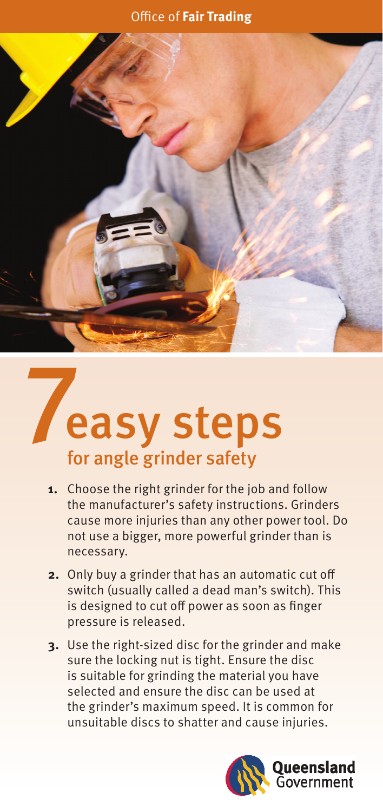## Office of **Fair Trading**



## 7 for angle grinder safety easy steps

- **1.** Choose the right grinder for the job and follow the manufacturer's safety instructions. Grinders cause more injuries than any other power tool. Do not use a bigger, more powerful grinder than is necessary.
- **2.** Only buy a grinder that has an automatic cut off switch (usually called a dead man's switch). This is designed to cut off power as soon as finger pressure is released.
- **3.** Use the right-sized disc for the grinder and make sure the locking nut is tight. Ensure the disc is suitable for grinding the material you have selected and ensure the disc can be used at the grinder's maximum speed. It is common for unsuitable discs to shatter and cause injuries.